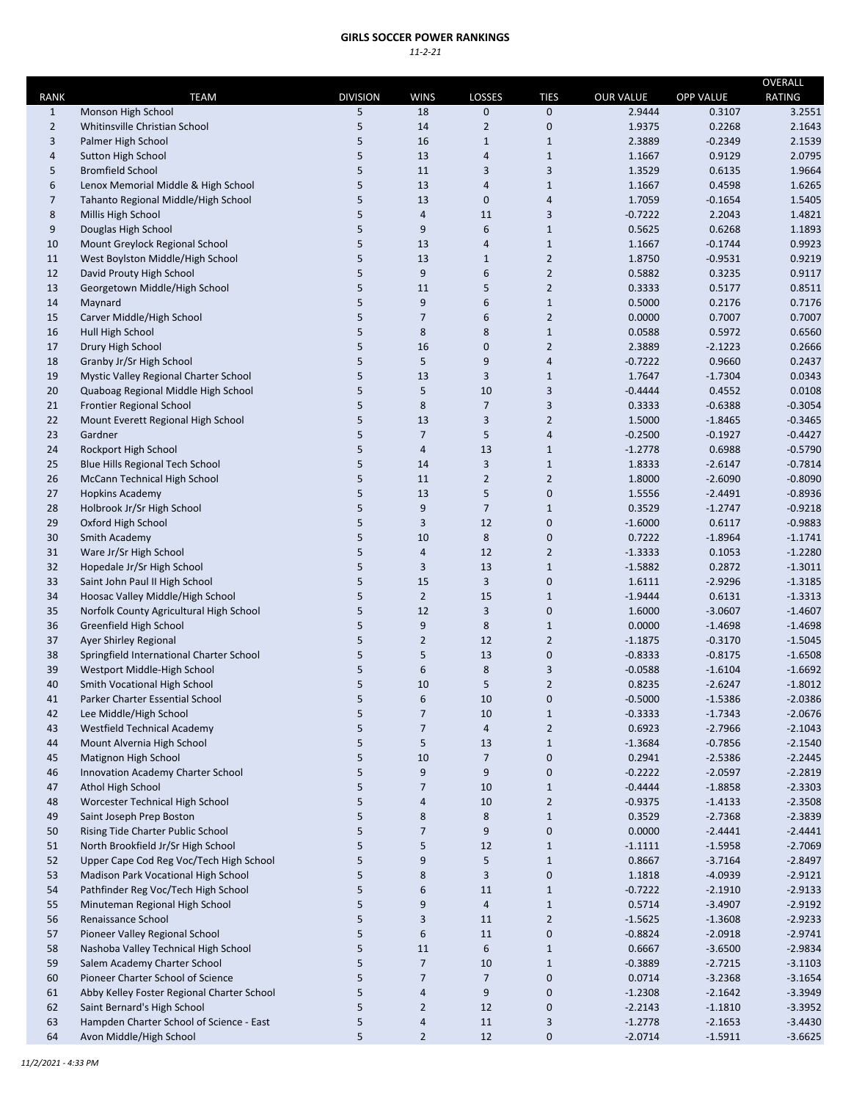## **GIRLS SOCCER POWER RANKINGS** *11‐2‐21*

|                             |                                                                      |                      |                   |                         |                          |                            |                            | OVERALL                 |
|-----------------------------|----------------------------------------------------------------------|----------------------|-------------------|-------------------------|--------------------------|----------------------------|----------------------------|-------------------------|
| <b>RANK</b><br>$\mathbf{1}$ | <b>TEAM</b><br>Monson High School                                    | <b>DIVISION</b><br>5 | <b>WINS</b><br>18 | LOSSES<br>0             | <b>TIES</b><br>$\pmb{0}$ | <b>OUR VALUE</b><br>2.9444 | <b>OPP VALUE</b><br>0.3107 | <b>RATING</b><br>3.2551 |
| $\overline{2}$              | Whitinsville Christian School                                        | 5                    | 14                | $\overline{2}$          | 0                        | 1.9375                     | 0.2268                     | 2.1643                  |
| 3                           | Palmer High School                                                   | 5                    | 16                | $\mathbf{1}$            | $\mathbf{1}$             | 2.3889                     | $-0.2349$                  | 2.1539                  |
| 4                           | Sutton High School                                                   | 5                    | 13                | 4                       | $\mathbf{1}$             | 1.1667                     | 0.9129                     | 2.0795                  |
| 5                           | <b>Bromfield School</b>                                              | 5                    | 11                | 3                       | 3                        | 1.3529                     | 0.6135                     | 1.9664                  |
| 6                           | Lenox Memorial Middle & High School                                  | 5                    | 13                | 4                       | $\mathbf{1}$             | 1.1667                     | 0.4598                     | 1.6265                  |
| $\overline{7}$              | Tahanto Regional Middle/High School                                  | 5                    | 13                | 0                       | $\overline{4}$           | 1.7059                     | $-0.1654$                  | 1.5405                  |
| 8                           | Millis High School                                                   | 5                    | $\sqrt{4}$        | 11                      | 3                        | $-0.7222$                  | 2.2043                     | 1.4821                  |
| 9                           | Douglas High School                                                  | 5                    | 9                 | 6                       | $\mathbf{1}$             | 0.5625                     | 0.6268                     | 1.1893                  |
| 10                          | Mount Greylock Regional School                                       | 5                    | 13                | 4                       | $\mathbf{1}$             | 1.1667                     | $-0.1744$                  | 0.9923                  |
| 11                          | West Boylston Middle/High School                                     | 5                    | 13                | $\mathbf{1}$            | $\overline{2}$           | 1.8750                     | $-0.9531$                  | 0.9219                  |
| 12                          | David Prouty High School                                             | 5                    | 9                 | 6                       | $\overline{2}$           | 0.5882                     | 0.3235                     | 0.9117                  |
| 13                          | Georgetown Middle/High School                                        | 5                    | 11                | 5                       | $\overline{2}$           | 0.3333                     | 0.5177                     | 0.8511                  |
| 14                          | Maynard                                                              | 5                    | 9                 | 6                       | $\mathbf{1}$             | 0.5000                     | 0.2176                     | 0.7176                  |
| 15                          | Carver Middle/High School                                            | 5                    | $\overline{7}$    | 6                       | $\overline{2}$           | 0.0000                     | 0.7007                     | 0.7007                  |
| 16                          | Hull High School                                                     | 5                    | 8                 | 8                       | $1\,$                    | 0.0588                     | 0.5972                     | 0.6560                  |
| 17                          | Drury High School                                                    | 5                    | 16                | 0                       | $\overline{2}$           | 2.3889                     | $-2.1223$                  | 0.2666                  |
| 18                          | Granby Jr/Sr High School                                             | 5                    | 5                 | 9                       | $\overline{4}$           | $-0.7222$                  | 0.9660                     | 0.2437                  |
| 19                          | Mystic Valley Regional Charter School                                | 5                    | 13                | 3                       | $\mathbf{1}$             | 1.7647                     | $-1.7304$                  | 0.0343                  |
| 20                          | Quaboag Regional Middle High School                                  | 5                    | 5                 | 10                      | 3                        | $-0.4444$                  | 0.4552                     | 0.0108                  |
| 21                          | <b>Frontier Regional School</b>                                      | 5                    | 8                 | $\overline{7}$          | 3                        | 0.3333                     | $-0.6388$                  | $-0.3054$               |
| 22                          | Mount Everett Regional High School                                   | 5                    | 13                | 3                       | $\overline{2}$           | 1.5000                     | $-1.8465$                  | $-0.3465$               |
| 23                          | Gardner                                                              | 5                    | $\overline{7}$    | 5                       | 4                        | $-0.2500$                  | $-0.1927$                  | $-0.4427$               |
| 24                          | Rockport High School                                                 | 5                    | $\overline{4}$    | 13                      | $\mathbf{1}$             | $-1.2778$                  | 0.6988                     | $-0.5790$               |
| 25                          | Blue Hills Regional Tech School                                      | 5<br>5               | 14                | 3                       | $\mathbf{1}$             | 1.8333<br>1.8000           | $-2.6147$                  | $-0.7814$<br>$-0.8090$  |
| 26                          | McCann Technical High School                                         |                      | 11<br>13          | $\overline{2}$          | $\overline{2}$           |                            | $-2.6090$                  |                         |
| 27                          | <b>Hopkins Academy</b><br>Holbrook Jr/Sr High School                 | 5<br>5               | 9                 | 5<br>$\overline{7}$     | 0<br>$\mathbf{1}$        | 1.5556<br>0.3529           | $-2.4491$<br>$-1.2747$     | $-0.8936$<br>$-0.9218$  |
| 28<br>29                    | Oxford High School                                                   | 5                    | $\mathbf{3}$      | 12                      | 0                        | $-1.6000$                  | 0.6117                     | $-0.9883$               |
| 30                          | Smith Academy                                                        | 5                    | 10                | 8                       | $\pmb{0}$                | 0.7222                     | $-1.8964$                  | $-1.1741$               |
| 31                          | Ware Jr/Sr High School                                               | 5                    | $\overline{a}$    | 12                      | $\overline{2}$           | $-1.3333$                  | 0.1053                     | $-1.2280$               |
| 32                          | Hopedale Jr/Sr High School                                           | 5                    | $\mathbf{3}$      | 13                      | $\mathbf{1}$             | $-1.5882$                  | 0.2872                     | $-1.3011$               |
| 33                          | Saint John Paul II High School                                       | 5                    | 15                | 3                       | 0                        | 1.6111                     | $-2.9296$                  | $-1.3185$               |
| 34                          | Hoosac Valley Middle/High School                                     | 5                    | $\overline{2}$    | 15                      | $\mathbf{1}$             | $-1.9444$                  | 0.6131                     | $-1.3313$               |
| 35                          | Norfolk County Agricultural High School                              | 5                    | 12                | 3                       | 0                        | 1.6000                     | $-3.0607$                  | $-1.4607$               |
| 36                          | Greenfield High School                                               | 5                    | 9                 | 8                       | $\mathbf{1}$             | 0.0000                     | $-1.4698$                  | $-1.4698$               |
| 37                          | Ayer Shirley Regional                                                | 5                    | $\overline{2}$    | 12                      | $\overline{2}$           | $-1.1875$                  | $-0.3170$                  | $-1.5045$               |
| 38                          | Springfield International Charter School                             | 5                    | 5                 | 13                      | 0                        | $-0.8333$                  | $-0.8175$                  | $-1.6508$               |
| 39                          | Westport Middle-High School                                          | 5                    | 6                 | 8                       | 3                        | $-0.0588$                  | $-1.6104$                  | $-1.6692$               |
| 40                          | Smith Vocational High School                                         | 5                    | 10                | 5                       | $\overline{2}$           | 0.8235                     | $-2.6247$                  | $-1.8012$               |
| 41                          | Parker Charter Essential School                                      | 5                    | 6                 | $10\,$                  | $\pmb{0}$                | $-0.5000$                  | $-1.5386$                  | $-2.0386$               |
| 42                          | Lee Middle/High School                                               | 5                    | $\overline{7}$    | 10                      | $\mathbf{1}$             | $-0.3333$                  | $-1.7343$                  | $-2.0676$               |
| 43                          | Westfield Technical Academy                                          | 5                    | $\overline{7}$    | $\overline{\mathbf{4}}$ | $\overline{2}$           | 0.6923                     | $-2.7966$                  | $-2.1043$               |
| 44                          | Mount Alvernia High School                                           | 5                    | 5                 | 13                      | $\mathbf{1}$             | $-1.3684$                  | $-0.7856$                  | $-2.1540$               |
| 45                          | Matignon High School                                                 | 5                    | 10                | $\overline{7}$          | 0                        | 0.2941                     | $-2.5386$                  | $-2.2445$               |
| 46                          | <b>Innovation Academy Charter School</b>                             | 5                    | 9                 | 9                       | 0                        | $-0.2222$                  | $-2.0597$                  | $-2.2819$               |
| 47                          | Athol High School                                                    | 5                    | $\overline{7}$    | 10                      | $\mathbf{1}$             | $-0.4444$                  | $-1.8858$                  | $-2.3303$               |
| 48                          | Worcester Technical High School                                      | 5                    | 4                 | 10                      | $\overline{2}$           | $-0.9375$                  | $-1.4133$                  | $-2.3508$               |
| 49                          | Saint Joseph Prep Boston                                             | 5                    | $\bf 8$           | 8                       | $\mathbf{1}$             | 0.3529                     | $-2.7368$                  | $-2.3839$               |
| 50                          | Rising Tide Charter Public School                                    | 5                    | $\overline{7}$    | 9                       | 0                        | 0.0000                     | $-2.4441$                  | $-2.4441$               |
| 51                          | North Brookfield Jr/Sr High School                                   | 5                    | 5                 | 12                      | $\mathbf{1}$             | $-1.1111$                  | $-1.5958$                  | $-2.7069$               |
| 52                          | Upper Cape Cod Reg Voc/Tech High School                              | 5                    | 9                 | 5                       | $\mathbf{1}$             | 0.8667                     | $-3.7164$                  | $-2.8497$               |
| 53                          | Madison Park Vocational High School                                  | 5                    | $\bf 8$           | 3                       | 0                        | 1.1818                     | $-4.0939$                  | $-2.9121$               |
| 54                          | Pathfinder Reg Voc/Tech High School                                  | 5                    | 6                 | 11                      | $\mathbf{1}$             | $-0.7222$                  | $-2.1910$                  | $-2.9133$               |
| 55                          | Minuteman Regional High School                                       | 5                    | 9                 | 4                       | $\mathbf{1}$             | 0.5714                     | $-3.4907$                  | $-2.9192$               |
| 56                          | Renaissance School                                                   | 5                    | 3                 | 11                      | $\overline{2}$           | $-1.5625$                  | $-1.3608$                  | $-2.9233$               |
| 57                          | Pioneer Valley Regional School                                       | 5<br>5               | 6<br>11           | 11<br>6                 | 0                        | $-0.8824$                  | $-2.0918$                  | $-2.9741$               |
| 58<br>59                    | Nashoba Valley Technical High School<br>Salem Academy Charter School | 5                    | $\overline{7}$    | 10                      | $\mathbf{1}$             | 0.6667<br>$-0.3889$        | $-3.6500$<br>$-2.7215$     | $-2.9834$<br>$-3.1103$  |
| 60                          | Pioneer Charter School of Science                                    | 5                    | $\overline{7}$    | $\overline{7}$          | $\mathbf{1}$<br>0        | 0.0714                     | $-3.2368$                  | $-3.1654$               |
| 61                          | Abby Kelley Foster Regional Charter School                           | 5                    | $\overline{a}$    | 9                       | 0                        | $-1.2308$                  | $-2.1642$                  | $-3.3949$               |
| 62                          | Saint Bernard's High School                                          | 5                    | $\overline{2}$    | 12                      | 0                        | $-2.2143$                  | $-1.1810$                  | $-3.3952$               |
| 63                          | Hampden Charter School of Science - East                             | 5                    | $\sqrt{4}$        | 11                      | 3                        | $-1.2778$                  | $-2.1653$                  | $-3.4430$               |
| 64                          | Avon Middle/High School                                              | 5                    | $\overline{2}$    | 12                      | 0                        | $-2.0714$                  | $-1.5911$                  | $-3.6625$               |
|                             |                                                                      |                      |                   |                         |                          |                            |                            |                         |